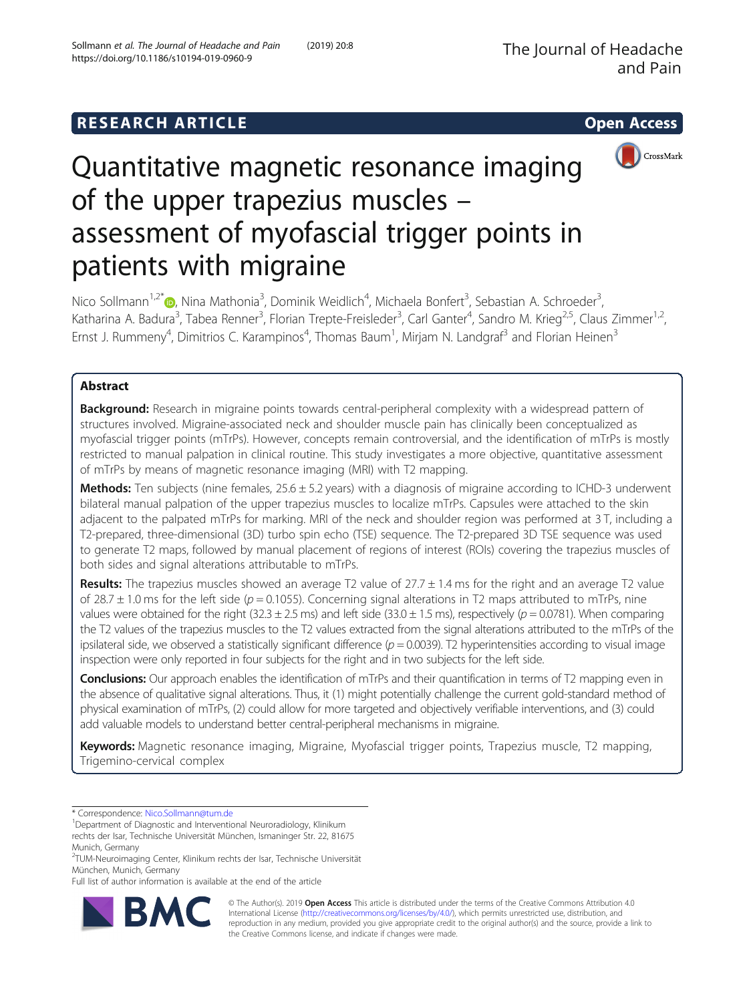# **RESEARCH ARTICLE Example 2014 CONSIDERING CONSIDERING CONSIDERING CONSIDERING CONSIDERING CONSIDERING CONSIDERING CONSIDERING CONSIDERING CONSIDERING CONSIDERING CONSIDERING CONSIDERING CONSIDERING CONSIDERING CONSIDE**



# Quantitative magnetic resonance imaging of the upper trapezius muscles – assessment of myofascial trigger points in patients with migraine

Nico Sollmann<sup>1,2\*</sup>®, Nina Mathonia<sup>3</sup>, Dominik Weidlich<sup>4</sup>, Michaela Bonfert<sup>3</sup>, Sebastian A. Schroeder<sup>3</sup> , Katharina A. Badura<sup>3</sup>, Tabea Renner<sup>3</sup>, Florian Trepte-Freisleder<sup>3</sup>, Carl Ganter<sup>4</sup>, Sandro M. Krieg<sup>2,5</sup>, Claus Zimmer<sup>1,2</sup>, Ernst J. Rummeny<sup>4</sup>, Dimitrios C. Karampinos<sup>4</sup>, Thomas Baum<sup>1</sup>, Mirjam N. Landgraf<sup>3</sup> and Florian Heinen<sup>3</sup>

# Abstract

**Background:** Research in migraine points towards central-peripheral complexity with a widespread pattern of structures involved. Migraine-associated neck and shoulder muscle pain has clinically been conceptualized as myofascial trigger points (mTrPs). However, concepts remain controversial, and the identification of mTrPs is mostly restricted to manual palpation in clinical routine. This study investigates a more objective, quantitative assessment of mTrPs by means of magnetic resonance imaging (MRI) with T2 mapping.

Methods: Ten subjects (nine females, 25.6 ± 5.2 years) with a diagnosis of migraine according to ICHD-3 underwent bilateral manual palpation of the upper trapezius muscles to localize mTrPs. Capsules were attached to the skin adjacent to the palpated mTrPs for marking. MRI of the neck and shoulder region was performed at 3 T, including a T2-prepared, three-dimensional (3D) turbo spin echo (TSE) sequence. The T2-prepared 3D TSE sequence was used to generate T2 maps, followed by manual placement of regions of interest (ROIs) covering the trapezius muscles of both sides and signal alterations attributable to mTrPs.

**Results:** The trapezius muscles showed an average T2 value of  $27.7 \pm 1.4$  ms for the right and an average T2 value of 28.7  $\pm$  1.0 ms for the left side (p = 0.1055). Concerning signal alterations in T2 maps attributed to mTrPs, nine values were obtained for the right (32.3  $\pm$  2.5 ms) and left side (33.0  $\pm$  1.5 ms), respectively (p = 0.0781). When comparing the T2 values of the trapezius muscles to the T2 values extracted from the signal alterations attributed to the mTrPs of the ipsilateral side, we observed a statistically significant difference ( $p = 0.0039$ ). T2 hyperintensities according to visual image inspection were only reported in four subjects for the right and in two subjects for the left side.

Conclusions: Our approach enables the identification of mTrPs and their quantification in terms of T2 mapping even in the absence of qualitative signal alterations. Thus, it (1) might potentially challenge the current gold-standard method of physical examination of mTrPs, (2) could allow for more targeted and objectively verifiable interventions, and (3) could add valuable models to understand better central-peripheral mechanisms in migraine.

Keywords: Magnetic resonance imaging, Migraine, Myofascial trigger points, Trapezius muscle, T2 mapping, Trigemino-cervical complex

<sup>2</sup>TUM-Neuroimaging Center, Klinikum rechts der Isar, Technische Universität München, Munich, Germany

Full list of author information is available at the end of the article



© The Author(s). 2019 Open Access This article is distributed under the terms of the Creative Commons Attribution 4.0 International License [\(http://creativecommons.org/licenses/by/4.0/](http://creativecommons.org/licenses/by/4.0/)), which permits unrestricted use, distribution, and reproduction in any medium, provided you give appropriate credit to the original author(s) and the source, provide a link to the Creative Commons license, and indicate if changes were made.

<sup>\*</sup> Correspondence: [Nico.Sollmann@tum.de](mailto:Nico.Sollmann@tum.de) <sup>1</sup>

<sup>&</sup>lt;sup>1</sup> Department of Diagnostic and Interventional Neuroradiology, Klinikum

rechts der Isar, Technische Universität München, Ismaninger Str. 22, 81675 Munich, Germany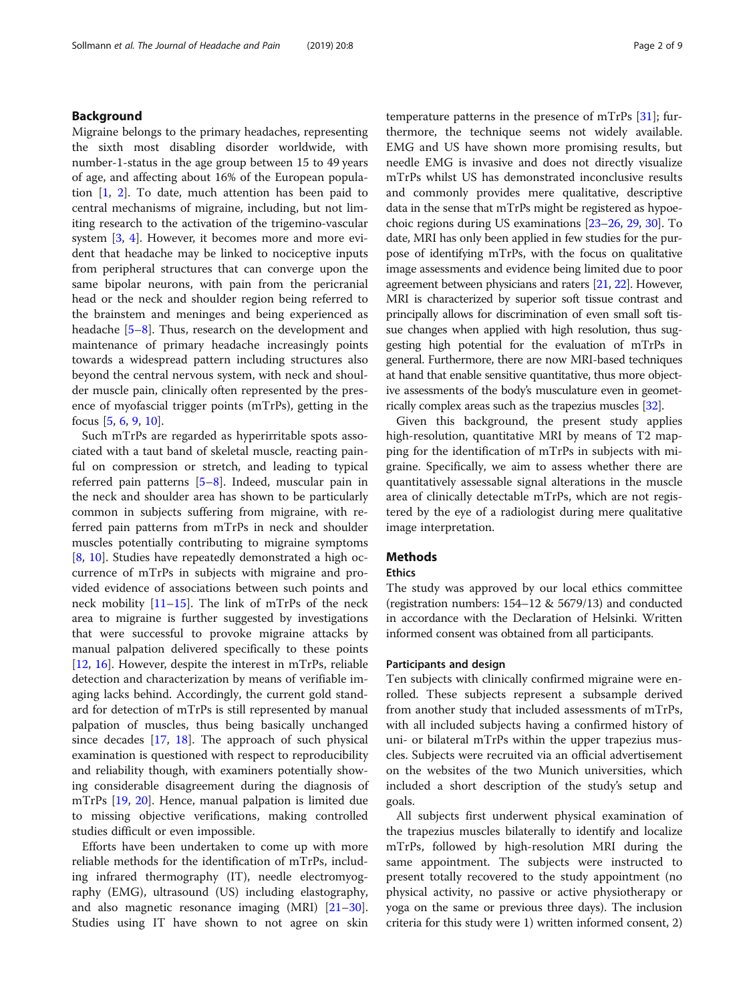# Background

Migraine belongs to the primary headaches, representing the sixth most disabling disorder worldwide, with number-1-status in the age group between 15 to 49 years of age, and affecting about 16% of the European population  $[1, 2]$  $[1, 2]$  $[1, 2]$  $[1, 2]$ . To date, much attention has been paid to central mechanisms of migraine, including, but not limiting research to the activation of the trigemino-vascular system [\[3](#page-7-0), [4](#page-7-0)]. However, it becomes more and more evident that headache may be linked to nociceptive inputs from peripheral structures that can converge upon the same bipolar neurons, with pain from the pericranial head or the neck and shoulder region being referred to the brainstem and meninges and being experienced as headache [\[5](#page-7-0)–[8\]](#page-7-0). Thus, research on the development and maintenance of primary headache increasingly points towards a widespread pattern including structures also beyond the central nervous system, with neck and shoulder muscle pain, clinically often represented by the presence of myofascial trigger points (mTrPs), getting in the focus [\[5](#page-7-0), [6](#page-7-0), [9](#page-7-0), [10](#page-7-0)].

Such mTrPs are regarded as hyperirritable spots associated with a taut band of skeletal muscle, reacting painful on compression or stretch, and leading to typical referred pain patterns [\[5](#page-7-0)–[8\]](#page-7-0). Indeed, muscular pain in the neck and shoulder area has shown to be particularly common in subjects suffering from migraine, with referred pain patterns from mTrPs in neck and shoulder muscles potentially contributing to migraine symptoms [[8,](#page-7-0) [10](#page-7-0)]. Studies have repeatedly demonstrated a high occurrence of mTrPs in subjects with migraine and provided evidence of associations between such points and neck mobility [[11](#page-7-0)–[15](#page-7-0)]. The link of mTrPs of the neck area to migraine is further suggested by investigations that were successful to provoke migraine attacks by manual palpation delivered specifically to these points [[12,](#page-7-0) [16\]](#page-7-0). However, despite the interest in mTrPs, reliable detection and characterization by means of verifiable imaging lacks behind. Accordingly, the current gold standard for detection of mTrPs is still represented by manual palpation of muscles, thus being basically unchanged since decades [[17,](#page-7-0) [18](#page-7-0)]. The approach of such physical examination is questioned with respect to reproducibility and reliability though, with examiners potentially showing considerable disagreement during the diagnosis of mTrPs [\[19,](#page-7-0) [20\]](#page-7-0). Hence, manual palpation is limited due to missing objective verifications, making controlled studies difficult or even impossible.

Efforts have been undertaken to come up with more reliable methods for the identification of mTrPs, including infrared thermography (IT), needle electromyography (EMG), ultrasound (US) including elastography, and also magnetic resonance imaging (MRI) [[21](#page-7-0)–[30](#page-8-0)]. Studies using IT have shown to not agree on skin temperature patterns in the presence of mTrPs [\[31\]](#page-8-0); furthermore, the technique seems not widely available. EMG and US have shown more promising results, but needle EMG is invasive and does not directly visualize mTrPs whilst US has demonstrated inconclusive results and commonly provides mere qualitative, descriptive data in the sense that mTrPs might be registered as hypoechoic regions during US examinations [\[23](#page-8-0)–[26](#page-8-0), [29](#page-8-0), [30\]](#page-8-0). To date, MRI has only been applied in few studies for the purpose of identifying mTrPs, with the focus on qualitative image assessments and evidence being limited due to poor agreement between physicians and raters [[21](#page-7-0), [22](#page-8-0)]. However, MRI is characterized by superior soft tissue contrast and principally allows for discrimination of even small soft tissue changes when applied with high resolution, thus suggesting high potential for the evaluation of mTrPs in general. Furthermore, there are now MRI-based techniques at hand that enable sensitive quantitative, thus more objective assessments of the body's musculature even in geometrically complex areas such as the trapezius muscles [[32](#page-8-0)].

Given this background, the present study applies high-resolution, quantitative MRI by means of T2 mapping for the identification of mTrPs in subjects with migraine. Specifically, we aim to assess whether there are quantitatively assessable signal alterations in the muscle area of clinically detectable mTrPs, which are not registered by the eye of a radiologist during mere qualitative image interpretation.

# Methods

# Ethics

The study was approved by our local ethics committee (registration numbers: 154–12 & 5679/13) and conducted in accordance with the Declaration of Helsinki. Written informed consent was obtained from all participants.

# Participants and design

Ten subjects with clinically confirmed migraine were enrolled. These subjects represent a subsample derived from another study that included assessments of mTrPs, with all included subjects having a confirmed history of uni- or bilateral mTrPs within the upper trapezius muscles. Subjects were recruited via an official advertisement on the websites of the two Munich universities, which included a short description of the study's setup and goals.

All subjects first underwent physical examination of the trapezius muscles bilaterally to identify and localize mTrPs, followed by high-resolution MRI during the same appointment. The subjects were instructed to present totally recovered to the study appointment (no physical activity, no passive or active physiotherapy or yoga on the same or previous three days). The inclusion criteria for this study were 1) written informed consent, 2)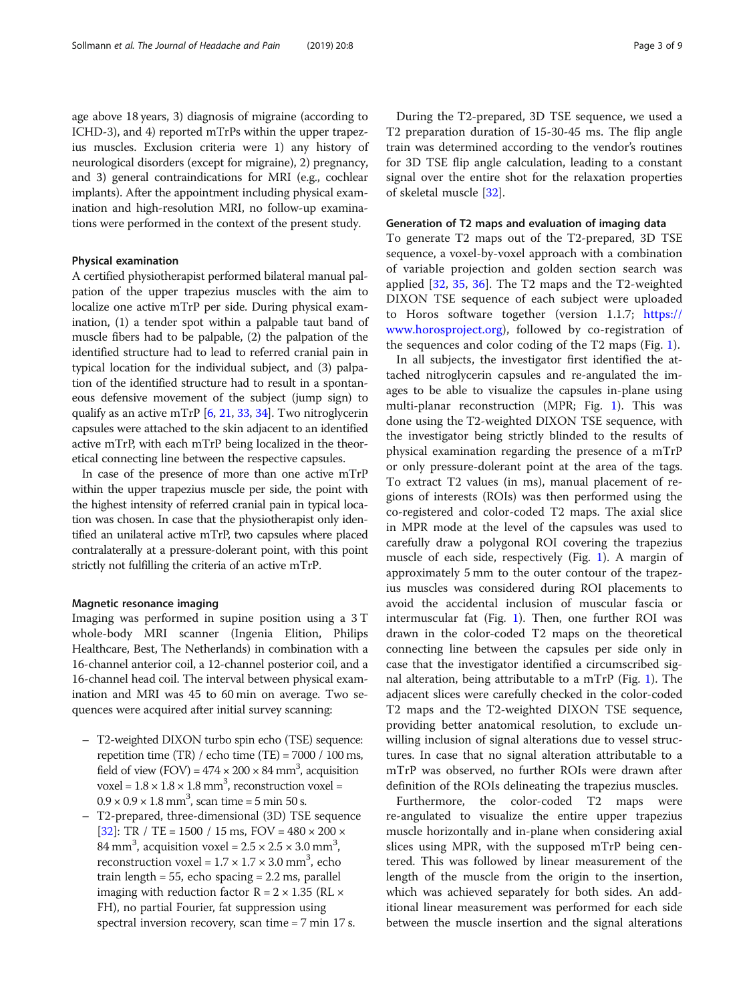age above 18 years, 3) diagnosis of migraine (according to ICHD-3), and 4) reported mTrPs within the upper trapezius muscles. Exclusion criteria were 1) any history of neurological disorders (except for migraine), 2) pregnancy, and 3) general contraindications for MRI (e.g., cochlear implants). After the appointment including physical examination and high-resolution MRI, no follow-up examinations were performed in the context of the present study.

# Physical examination

A certified physiotherapist performed bilateral manual palpation of the upper trapezius muscles with the aim to localize one active mTrP per side. During physical examination, (1) a tender spot within a palpable taut band of muscle fibers had to be palpable, (2) the palpation of the identified structure had to lead to referred cranial pain in typical location for the individual subject, and (3) palpation of the identified structure had to result in a spontaneous defensive movement of the subject (jump sign) to qualify as an active mTrP  $[6, 21, 33, 34]$  $[6, 21, 33, 34]$  $[6, 21, 33, 34]$  $[6, 21, 33, 34]$  $[6, 21, 33, 34]$  $[6, 21, 33, 34]$  $[6, 21, 33, 34]$  $[6, 21, 33, 34]$  $[6, 21, 33, 34]$ . Two nitroglycerin capsules were attached to the skin adjacent to an identified active mTrP, with each mTrP being localized in the theoretical connecting line between the respective capsules.

In case of the presence of more than one active mTrP within the upper trapezius muscle per side, the point with the highest intensity of referred cranial pain in typical location was chosen. In case that the physiotherapist only identified an unilateral active mTrP, two capsules where placed contralaterally at a pressure-dolerant point, with this point strictly not fulfilling the criteria of an active mTrP.

#### Magnetic resonance imaging

Imaging was performed in supine position using a 3 T whole-body MRI scanner (Ingenia Elition, Philips Healthcare, Best, The Netherlands) in combination with a 16-channel anterior coil, a 12-channel posterior coil, and a 16-channel head coil. The interval between physical examination and MRI was 45 to 60 min on average. Two sequences were acquired after initial survey scanning:

- T2-weighted DIXON turbo spin echo (TSE) sequence: repetition time (TR) / echo time (TE) = 7000 / 100 ms, field of view (FOV) =  $474 \times 200 \times 84$  mm<sup>3</sup>, acquisition voxel =  $1.8 \times 1.8 \times 1.8$  mm<sup>3</sup>, reconstruction voxel =  $0.9 \times 0.9 \times 1.8 \text{ mm}^3$ , scan time = 5 min 50 s.
- T2-prepared, three-dimensional (3D) TSE sequence [[32](#page-8-0)]: TR / TE = 1500 / 15 ms, FOV =  $480 \times 200 \times$ 84 mm<sup>3</sup>, acquisition voxel =  $2.5 \times 2.5 \times 3.0$  mm<sup>3</sup>, reconstruction voxel =  $1.7 \times 1.7 \times 3.0$  mm<sup>3</sup>, echo train length = 55, echo spacing = 2.2 ms, parallel imaging with reduction factor  $R = 2 \times 1.35$  (RL  $\times$ FH), no partial Fourier, fat suppression using spectral inversion recovery, scan time = 7 min 17 s.

T2 preparation duration of 15-30-45 ms. The flip angle train was determined according to the vendor's routines for 3D TSE flip angle calculation, leading to a constant signal over the entire shot for the relaxation properties of skeletal muscle [\[32](#page-8-0)].

# Generation of T2 maps and evaluation of imaging data

To generate T2 maps out of the T2-prepared, 3D TSE sequence, a voxel-by-voxel approach with a combination of variable projection and golden section search was applied [[32,](#page-8-0) [35](#page-8-0), [36\]](#page-8-0). The T2 maps and the T2-weighted DIXON TSE sequence of each subject were uploaded to Horos software together (version 1.1.7; [https://](https://www.horosproject.org) [www.horosproject.org](https://www.horosproject.org)), followed by co-registration of the sequences and color coding of the T2 maps (Fig. [1](#page-3-0)).

In all subjects, the investigator first identified the attached nitroglycerin capsules and re-angulated the images to be able to visualize the capsules in-plane using multi-planar reconstruction (MPR; Fig. [1\)](#page-3-0). This was done using the T2-weighted DIXON TSE sequence, with the investigator being strictly blinded to the results of physical examination regarding the presence of a mTrP or only pressure-dolerant point at the area of the tags. To extract T2 values (in ms), manual placement of regions of interests (ROIs) was then performed using the co-registered and color-coded T2 maps. The axial slice in MPR mode at the level of the capsules was used to carefully draw a polygonal ROI covering the trapezius muscle of each side, respectively (Fig. [1\)](#page-3-0). A margin of approximately 5 mm to the outer contour of the trapezius muscles was considered during ROI placements to avoid the accidental inclusion of muscular fascia or intermuscular fat (Fig. [1](#page-3-0)). Then, one further ROI was drawn in the color-coded T2 maps on the theoretical connecting line between the capsules per side only in case that the investigator identified a circumscribed signal alteration, being attributable to a mTrP (Fig. [1\)](#page-3-0). The adjacent slices were carefully checked in the color-coded T2 maps and the T2-weighted DIXON TSE sequence, providing better anatomical resolution, to exclude unwilling inclusion of signal alterations due to vessel structures. In case that no signal alteration attributable to a mTrP was observed, no further ROIs were drawn after definition of the ROIs delineating the trapezius muscles.

Furthermore, the color-coded T2 maps were re-angulated to visualize the entire upper trapezius muscle horizontally and in-plane when considering axial slices using MPR, with the supposed mTrP being centered. This was followed by linear measurement of the length of the muscle from the origin to the insertion, which was achieved separately for both sides. An additional linear measurement was performed for each side between the muscle insertion and the signal alterations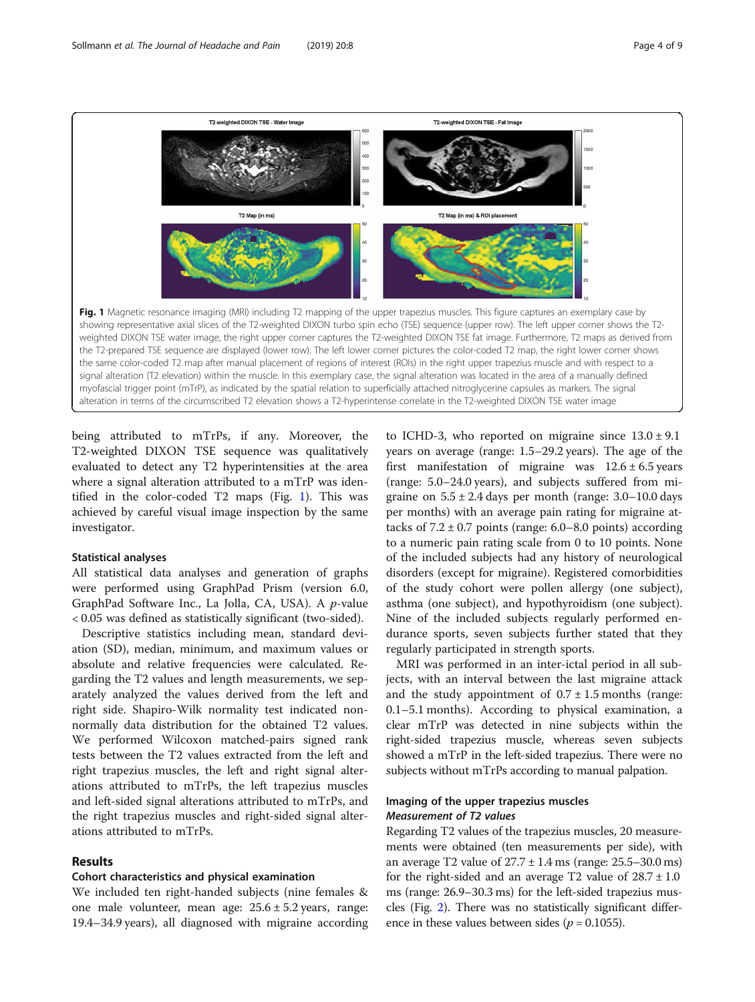<span id="page-3-0"></span>

being attributed to mTrPs, if any. Moreover, the T2-weighted DIXON TSE sequence was qualitatively evaluated to detect any T2 hyperintensities at the area where a signal alteration attributed to a mTrP was identified in the color-coded T2 maps (Fig. 1). This was achieved by careful visual image inspection by the same investigator.

# Statistical analyses

All statistical data analyses and generation of graphs were performed using GraphPad Prism (version 6.0, GraphPad Software Inc., La Jolla, CA, USA). A p-value < 0.05 was defined as statistically significant (two-sided).

Descriptive statistics including mean, standard deviation (SD), median, minimum, and maximum values or absolute and relative frequencies were calculated. Regarding the T2 values and length measurements, we separately analyzed the values derived from the left and right side. Shapiro-Wilk normality test indicated nonnormally data distribution for the obtained T2 values. We performed Wilcoxon matched-pairs signed rank tests between the T2 values extracted from the left and right trapezius muscles, the left and right signal alterations attributed to mTrPs, the left trapezius muscles and left-sided signal alterations attributed to mTrPs, and the right trapezius muscles and right-sided signal alterations attributed to mTrPs.

# Results

# Cohort characteristics and physical examination

We included ten right-handed subjects (nine females & one male volunteer, mean age:  $25.6 \pm 5.2$  years, range: 19.4–34.9 years), all diagnosed with migraine according

to ICHD-3, who reported on migraine since  $13.0 \pm 9.1$ years on average (range: 1.5–29.2 years). The age of the first manifestation of migraine was  $12.6 \pm 6.5$  years (range: 5.0–24.0 years), and subjects suffered from migraine on  $5.5 \pm 2.4$  days per month (range:  $3.0-10.0$  days per months) with an average pain rating for migraine attacks of  $7.2 \pm 0.7$  points (range: 6.0–8.0 points) according to a numeric pain rating scale from 0 to 10 points. None of the included subjects had any history of neurological disorders (except for migraine). Registered comorbidities of the study cohort were pollen allergy (one subject), asthma (one subject), and hypothyroidism (one subject). Nine of the included subjects regularly performed endurance sports, seven subjects further stated that they regularly participated in strength sports.

MRI was performed in an inter-ictal period in all subjects, with an interval between the last migraine attack and the study appointment of  $0.7 \pm 1.5$  months (range: 0.1–5.1 months). According to physical examination, a clear mTrP was detected in nine subjects within the right-sided trapezius muscle, whereas seven subjects showed a mTrP in the left-sided trapezius. There were no subjects without mTrPs according to manual palpation.

# Imaging of the upper trapezius muscles

Regarding T2 values of the trapezius muscles, 20 measurements were obtained (ten measurements per side), with an average T2 value of 27.7 ± 1.4 ms (range: 25.5–30.0 ms) for the right-sided and an average T2 value of  $28.7 \pm 1.0$ ms (range: 26.9–30.3 ms) for the left-sided trapezius muscles (Fig. [2](#page-4-0)). There was no statistically significant difference in these values between sides ( $p = 0.1055$ ).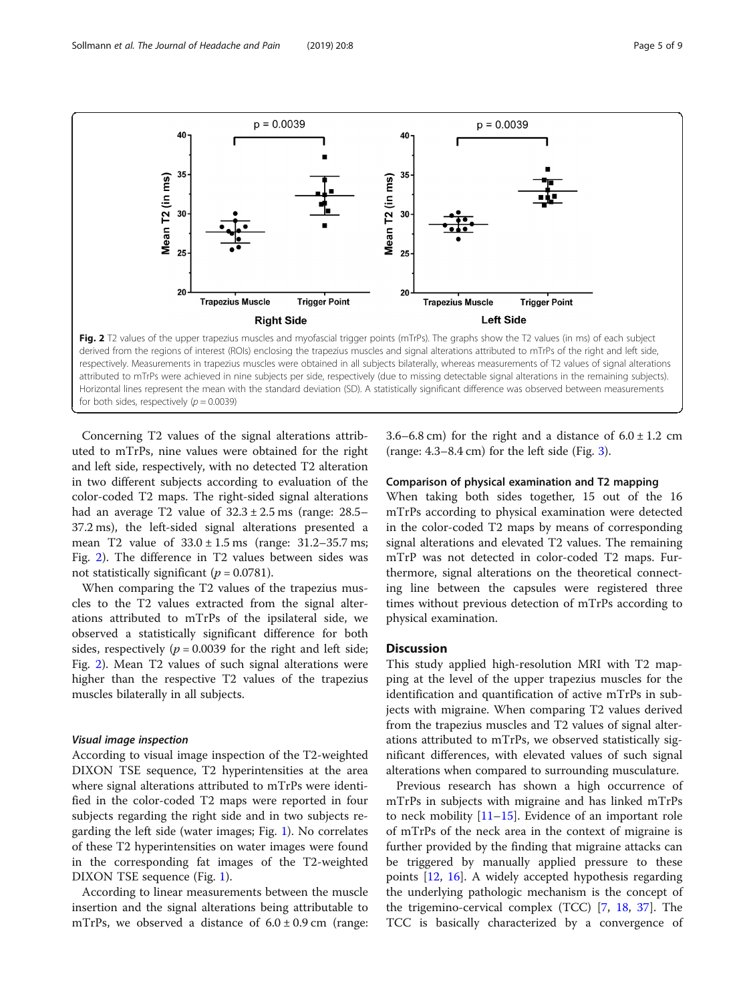<span id="page-4-0"></span>

Fig. 2 T2 values of the upper trapezius muscles and myofascial trigger points (mTrPs). The graphs show the T2 values (in ms) of each subject derived from the regions of interest (ROIs) enclosing the trapezius muscles and signal alterations attributed to mTrPs of the right and left side, respectively. Measurements in trapezius muscles were obtained in all subjects bilaterally, whereas measurements of T2 values of signal alterations attributed to mTrPs were achieved in nine subjects per side, respectively (due to missing detectable signal alterations in the remaining subjects). Horizontal lines represent the mean with the standard deviation (SD). A statistically significant difference was observed between measurements for both sides, respectively ( $p = 0.0039$ )

Concerning T2 values of the signal alterations attributed to mTrPs, nine values were obtained for the right and left side, respectively, with no detected T2 alteration in two different subjects according to evaluation of the color-coded T2 maps. The right-sided signal alterations had an average T2 value of  $32.3 \pm 2.5$  ms (range: 28.5– 37.2 ms), the left-sided signal alterations presented a mean T2 value of  $33.0 \pm 1.5$  ms (range:  $31.2 - 35.7$  ms; Fig. 2). The difference in T2 values between sides was not statistically significant ( $p = 0.0781$ ).

When comparing the T2 values of the trapezius muscles to the T2 values extracted from the signal alterations attributed to mTrPs of the ipsilateral side, we observed a statistically significant difference for both sides, respectively ( $p = 0.0039$  for the right and left side; Fig. 2). Mean T2 values of such signal alterations were higher than the respective T2 values of the trapezius muscles bilaterally in all subjects.

According to visual image inspection of the T2-weighted DIXON TSE sequence, T2 hyperintensities at the area where signal alterations attributed to mTrPs were identified in the color-coded T2 maps were reported in four subjects regarding the right side and in two subjects regarding the left side (water images; Fig. [1\)](#page-3-0). No correlates of these T2 hyperintensities on water images were found in the corresponding fat images of the T2-weighted DIXON TSE sequence (Fig. [1](#page-3-0)).

According to linear measurements between the muscle insertion and the signal alterations being attributable to mTrPs, we observed a distance of  $6.0 \pm 0.9$  cm (range: 3.6–6.8 cm) for the right and a distance of  $6.0 \pm 1.2$  cm (range:  $4.3-8.4$  cm) for the left side (Fig. [3\)](#page-5-0).

# Comparison of physical examination and T2 mapping

When taking both sides together, 15 out of the 16 mTrPs according to physical examination were detected in the color-coded T2 maps by means of corresponding signal alterations and elevated T2 values. The remaining mTrP was not detected in color-coded T2 maps. Furthermore, signal alterations on the theoretical connecting line between the capsules were registered three times without previous detection of mTrPs according to physical examination.

# **Discussion**

This study applied high-resolution MRI with T2 mapping at the level of the upper trapezius muscles for the identification and quantification of active mTrPs in subjects with migraine. When comparing T2 values derived from the trapezius muscles and T2 values of signal alterations attributed to mTrPs, we observed statistically significant differences, with elevated values of such signal alterations when compared to surrounding musculature.

Previous research has shown a high occurrence of mTrPs in subjects with migraine and has linked mTrPs to neck mobility  $[11–15]$  $[11–15]$  $[11–15]$  $[11–15]$  $[11–15]$ . Evidence of an important role of mTrPs of the neck area in the context of migraine is further provided by the finding that migraine attacks can be triggered by manually applied pressure to these points [\[12](#page-7-0), [16](#page-7-0)]. A widely accepted hypothesis regarding the underlying pathologic mechanism is the concept of the trigemino-cervical complex (TCC) [[7](#page-7-0), [18,](#page-7-0) [37\]](#page-8-0). The TCC is basically characterized by a convergence of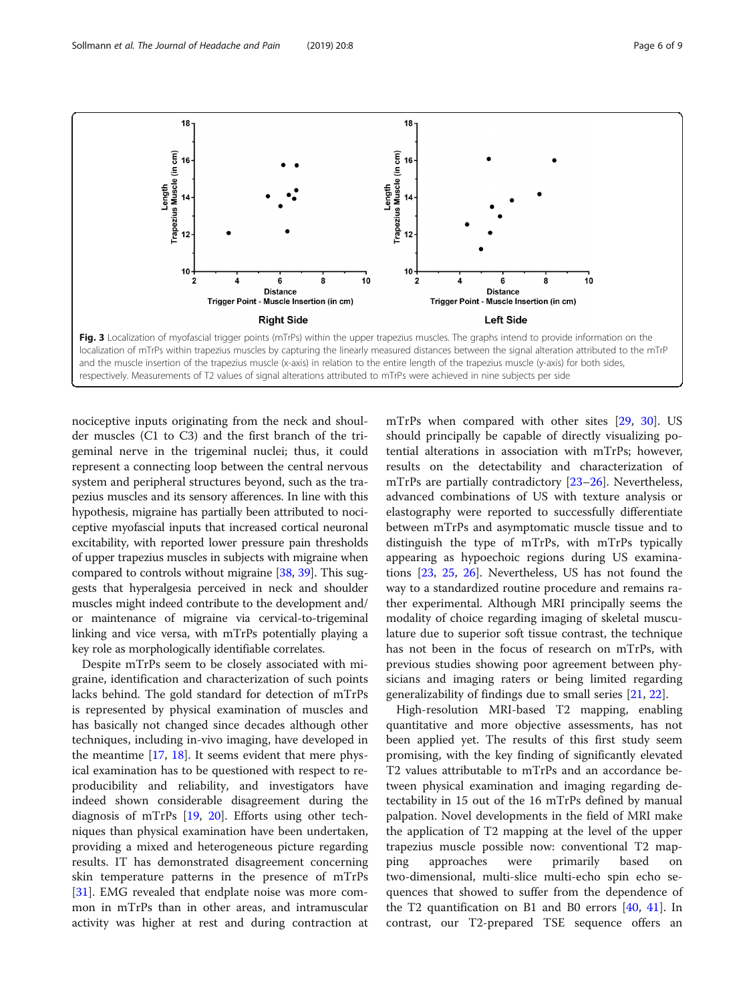<span id="page-5-0"></span>

nociceptive inputs originating from the neck and shoulder muscles (C1 to C3) and the first branch of the trigeminal nerve in the trigeminal nuclei; thus, it could represent a connecting loop between the central nervous system and peripheral structures beyond, such as the trapezius muscles and its sensory afferences. In line with this hypothesis, migraine has partially been attributed to nociceptive myofascial inputs that increased cortical neuronal excitability, with reported lower pressure pain thresholds of upper trapezius muscles in subjects with migraine when compared to controls without migraine [[38](#page-8-0), [39\]](#page-8-0). This suggests that hyperalgesia perceived in neck and shoulder muscles might indeed contribute to the development and/ or maintenance of migraine via cervical-to-trigeminal linking and vice versa, with mTrPs potentially playing a key role as morphologically identifiable correlates.

Despite mTrPs seem to be closely associated with migraine, identification and characterization of such points lacks behind. The gold standard for detection of mTrPs is represented by physical examination of muscles and has basically not changed since decades although other techniques, including in-vivo imaging, have developed in the meantime [\[17,](#page-7-0) [18](#page-7-0)]. It seems evident that mere physical examination has to be questioned with respect to reproducibility and reliability, and investigators have indeed shown considerable disagreement during the diagnosis of mTrPs [[19](#page-7-0), [20](#page-7-0)]. Efforts using other techniques than physical examination have been undertaken, providing a mixed and heterogeneous picture regarding results. IT has demonstrated disagreement concerning skin temperature patterns in the presence of mTrPs [[31\]](#page-8-0). EMG revealed that endplate noise was more common in mTrPs than in other areas, and intramuscular activity was higher at rest and during contraction at

mTrPs when compared with other sites [\[29](#page-8-0), [30\]](#page-8-0). US should principally be capable of directly visualizing potential alterations in association with mTrPs; however, results on the detectability and characterization of mTrPs are partially contradictory [[23](#page-8-0)–[26](#page-8-0)]. Nevertheless, advanced combinations of US with texture analysis or elastography were reported to successfully differentiate between mTrPs and asymptomatic muscle tissue and to distinguish the type of mTrPs, with mTrPs typically appearing as hypoechoic regions during US examinations [[23](#page-8-0), [25,](#page-8-0) [26](#page-8-0)]. Nevertheless, US has not found the way to a standardized routine procedure and remains rather experimental. Although MRI principally seems the modality of choice regarding imaging of skeletal musculature due to superior soft tissue contrast, the technique has not been in the focus of research on mTrPs, with previous studies showing poor agreement between physicians and imaging raters or being limited regarding generalizability of findings due to small series [[21](#page-7-0), [22](#page-8-0)].

High-resolution MRI-based T2 mapping, enabling quantitative and more objective assessments, has not been applied yet. The results of this first study seem promising, with the key finding of significantly elevated T2 values attributable to mTrPs and an accordance between physical examination and imaging regarding detectability in 15 out of the 16 mTrPs defined by manual palpation. Novel developments in the field of MRI make the application of T2 mapping at the level of the upper trapezius muscle possible now: conventional T2 mapping approaches were primarily based on two-dimensional, multi-slice multi-echo spin echo sequences that showed to suffer from the dependence of the T2 quantification on B1 and B0 errors  $[40, 41]$  $[40, 41]$  $[40, 41]$  $[40, 41]$ . In contrast, our T2-prepared TSE sequence offers an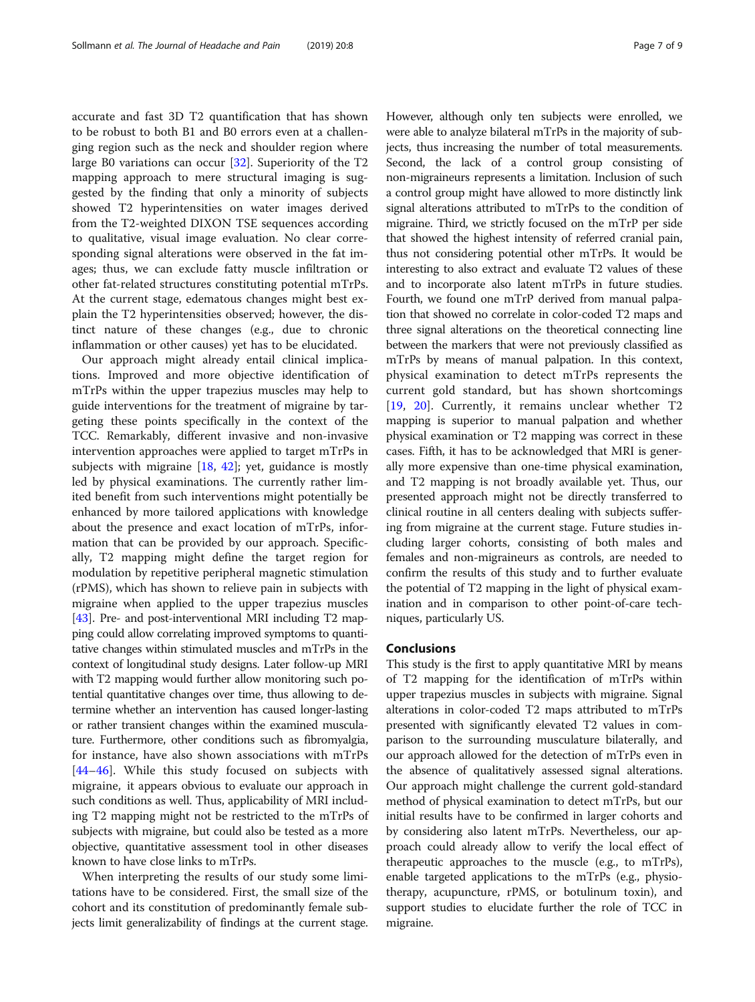accurate and fast 3D T2 quantification that has shown to be robust to both B1 and B0 errors even at a challenging region such as the neck and shoulder region where large B0 variations can occur [[32](#page-8-0)]. Superiority of the T2 mapping approach to mere structural imaging is suggested by the finding that only a minority of subjects showed T2 hyperintensities on water images derived from the T2-weighted DIXON TSE sequences according to qualitative, visual image evaluation. No clear corresponding signal alterations were observed in the fat images; thus, we can exclude fatty muscle infiltration or other fat-related structures constituting potential mTrPs. At the current stage, edematous changes might best explain the T2 hyperintensities observed; however, the distinct nature of these changes (e.g., due to chronic inflammation or other causes) yet has to be elucidated.

Our approach might already entail clinical implications. Improved and more objective identification of mTrPs within the upper trapezius muscles may help to guide interventions for the treatment of migraine by targeting these points specifically in the context of the TCC. Remarkably, different invasive and non-invasive intervention approaches were applied to target mTrPs in subjects with migraine  $[18, 42]$  $[18, 42]$  $[18, 42]$  $[18, 42]$ ; yet, guidance is mostly led by physical examinations. The currently rather limited benefit from such interventions might potentially be enhanced by more tailored applications with knowledge about the presence and exact location of mTrPs, information that can be provided by our approach. Specifically, T2 mapping might define the target region for modulation by repetitive peripheral magnetic stimulation (rPMS), which has shown to relieve pain in subjects with migraine when applied to the upper trapezius muscles [[43\]](#page-8-0). Pre- and post-interventional MRI including T2 mapping could allow correlating improved symptoms to quantitative changes within stimulated muscles and mTrPs in the context of longitudinal study designs. Later follow-up MRI with T2 mapping would further allow monitoring such potential quantitative changes over time, thus allowing to determine whether an intervention has caused longer-lasting or rather transient changes within the examined musculature. Furthermore, other conditions such as fibromyalgia, for instance, have also shown associations with mTrPs  $[44-46]$  $[44-46]$  $[44-46]$  $[44-46]$ . While this study focused on subjects with migraine, it appears obvious to evaluate our approach in such conditions as well. Thus, applicability of MRI including T2 mapping might not be restricted to the mTrPs of subjects with migraine, but could also be tested as a more objective, quantitative assessment tool in other diseases known to have close links to mTrPs.

When interpreting the results of our study some limitations have to be considered. First, the small size of the cohort and its constitution of predominantly female subjects limit generalizability of findings at the current stage. However, although only ten subjects were enrolled, we were able to analyze bilateral mTrPs in the majority of subjects, thus increasing the number of total measurements. Second, the lack of a control group consisting of non-migraineurs represents a limitation. Inclusion of such a control group might have allowed to more distinctly link signal alterations attributed to mTrPs to the condition of migraine. Third, we strictly focused on the mTrP per side that showed the highest intensity of referred cranial pain, thus not considering potential other mTrPs. It would be interesting to also extract and evaluate T2 values of these and to incorporate also latent mTrPs in future studies. Fourth, we found one mTrP derived from manual palpation that showed no correlate in color-coded T2 maps and three signal alterations on the theoretical connecting line between the markers that were not previously classified as mTrPs by means of manual palpation. In this context, physical examination to detect mTrPs represents the current gold standard, but has shown shortcomings [[19,](#page-7-0) [20\]](#page-7-0). Currently, it remains unclear whether T2 mapping is superior to manual palpation and whether physical examination or T2 mapping was correct in these cases. Fifth, it has to be acknowledged that MRI is generally more expensive than one-time physical examination, and T2 mapping is not broadly available yet. Thus, our presented approach might not be directly transferred to clinical routine in all centers dealing with subjects suffering from migraine at the current stage. Future studies including larger cohorts, consisting of both males and females and non-migraineurs as controls, are needed to confirm the results of this study and to further evaluate the potential of T2 mapping in the light of physical examination and in comparison to other point-of-care techniques, particularly US.

# **Conclusions**

This study is the first to apply quantitative MRI by means of T2 mapping for the identification of mTrPs within upper trapezius muscles in subjects with migraine. Signal alterations in color-coded T2 maps attributed to mTrPs presented with significantly elevated T2 values in comparison to the surrounding musculature bilaterally, and our approach allowed for the detection of mTrPs even in the absence of qualitatively assessed signal alterations. Our approach might challenge the current gold-standard method of physical examination to detect mTrPs, but our initial results have to be confirmed in larger cohorts and by considering also latent mTrPs. Nevertheless, our approach could already allow to verify the local effect of therapeutic approaches to the muscle (e.g., to mTrPs), enable targeted applications to the mTrPs (e.g., physiotherapy, acupuncture, rPMS, or botulinum toxin), and support studies to elucidate further the role of TCC in migraine.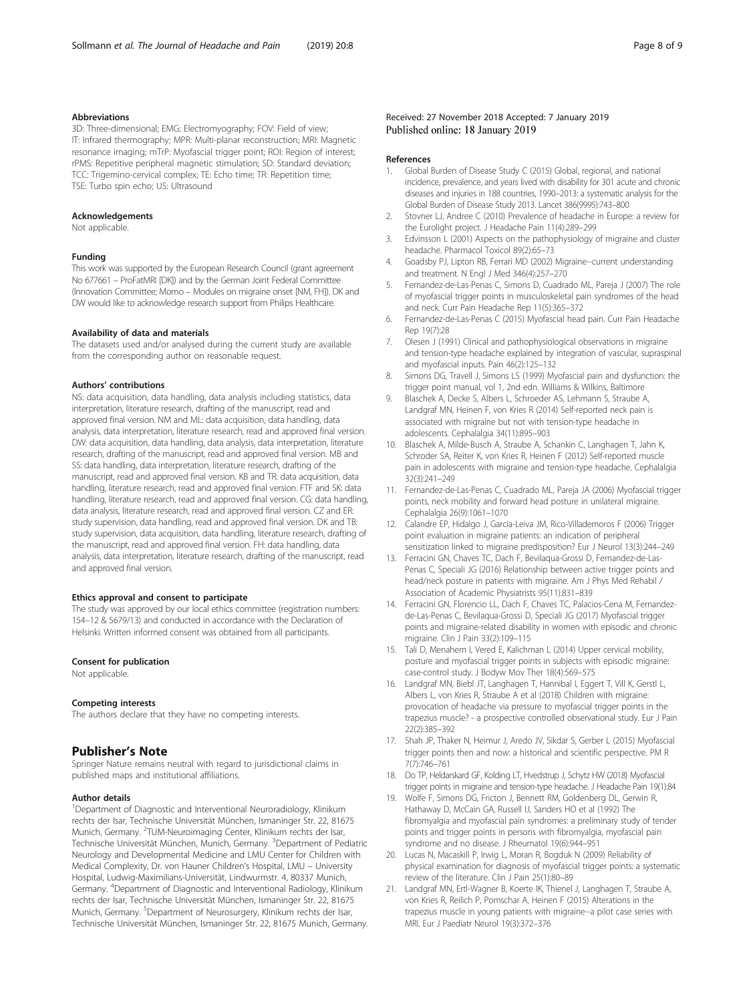### <span id="page-7-0"></span>Abbreviations

3D: Three-dimensional; EMG: Electromyography; FOV: Field of view; IT: Infrared thermography; MPR: Multi-planar reconstruction; MRI: Magnetic resonance imaging; mTrP: Myofascial trigger point; ROI: Region of interest; rPMS: Repetitive peripheral magnetic stimulation; SD: Standard deviation; TCC: Trigemino-cervical complex; TE: Echo time; TR: Repetition time; TSE: Turbo spin echo; US: Ultrasound

#### Acknowledgements

Not applicable.

# Funding

This work was supported by the European Research Council (grant agreement No 677661 – ProFatMRI [DK]) and by the German Joint Federal Committee (Innovation Committee; Momo – Modules on migraine onset [NM, FH]). DK and DW would like to acknowledge research support from Philips Healthcare.

#### Availability of data and materials

The datasets used and/or analysed during the current study are available from the corresponding author on reasonable request.

#### Authors' contributions

NS: data acquisition, data handling, data analysis including statistics, data interpretation, literature research, drafting of the manuscript, read and approved final version. NM and ML: data acquisition, data handling, data analysis, data interpretation, literature research, read and approved final version. DW: data acquisition, data handling, data analysis, data interpretation, literature research, drafting of the manuscript, read and approved final version. MB and SS: data handling, data interpretation, literature research, drafting of the manuscript, read and approved final version. KB and TR: data acquisition, data handling, literature research, read and approved final version. FTF and SK: data handling, literature research, read and approved final version. CG: data handling, data analysis, literature research, read and approved final version. CZ and ER: study supervision, data handling, read and approved final version. DK and TB: study supervision, data acquisition, data handling, literature research, drafting of the manuscript, read and approved final version. FH: data handling, data analysis, data interpretation, literature research, drafting of the manuscript, read and approved final version.

#### Ethics approval and consent to participate

The study was approved by our local ethics committee (registration numbers: 154–12 & 5679/13) and conducted in accordance with the Declaration of Helsinki. Written informed consent was obtained from all participants.

### Consent for publication

Not applicable.

#### Competing interests

The authors declare that they have no competing interests.

# Publisher's Note

Springer Nature remains neutral with regard to jurisdictional claims in published maps and institutional affiliations.

#### Author details

<sup>1</sup>Department of Diagnostic and Interventional Neuroradiology, Klinikum rechts der Isar, Technische Universität München, Ismaninger Str. 22, 81675 Munich, Germany. <sup>2</sup>TUM-Neuroimaging Center, Klinikum rechts der Isar, Technische Universität München, Munich, Germany. <sup>3</sup>Department of Pediatric Neurology and Developmental Medicine and LMU Center for Children with Medical Complexity, Dr. von Hauner Children's Hospital, LMU – University Hospital, Ludwig-Maximilians-Universität, Lindwurmstr. 4, 80337 Munich, Germany. <sup>4</sup>Department of Diagnostic and Interventional Radiology, Klinikum rechts der Isar, Technische Universität München, Ismaninger Str. 22, 81675 Munich, Germany. <sup>5</sup>Department of Neurosurgery, Klinikum rechts der Isar, Technische Universität München, Ismaninger Str. 22, 81675 Munich, Germany.

# Received: 27 November 2018 Accepted: 7 January 2019 Published online: 18 January 2019

#### References

- 1. Global Burden of Disease Study C (2015) Global, regional, and national incidence, prevalence, and years lived with disability for 301 acute and chronic diseases and injuries in 188 countries, 1990–2013: a systematic analysis for the Global Burden of Disease Study 2013. Lancet 386(9995):743–800
- 2. Stovner LJ, Andree C (2010) Prevalence of headache in Europe: a review for the Eurolight project. J Headache Pain 11(4):289–299
- 3. Edvinsson L (2001) Aspects on the pathophysiology of migraine and cluster headache. Pharmacol Toxicol 89(2):65–73
- 4. Goadsby PJ, Lipton RB, Ferrari MD (2002) Migraine--current understanding and treatment. N Engl J Med 346(4):257–270
- 5. Fernandez-de-Las-Penas C, Simons D, Cuadrado ML, Pareja J (2007) The role of myofascial trigger points in musculoskeletal pain syndromes of the head and neck. Curr Pain Headache Rep 11(5):365–372
- 6. Fernandez-de-Las-Penas C (2015) Myofascial head pain. Curr Pain Headache Rep 19(7):28
- 7. Olesen J (1991) Clinical and pathophysiological observations in migraine and tension-type headache explained by integration of vascular, supraspinal and myofascial inputs. Pain 46(2):125–132
- 8. Simons DG, Travell J, Simons LS (1999) Myofascial pain and dysfunction: the trigger point manual, vol 1, 2nd edn. Williams & Wilkins, Baltimore
- 9. Blaschek A, Decke S, Albers L, Schroeder AS, Lehmann S, Straube A, Landgraf MN, Heinen F, von Kries R (2014) Self-reported neck pain is associated with migraine but not with tension-type headache in adolescents. Cephalalgia 34(11):895–903
- 10. Blaschek A, Milde-Busch A, Straube A, Schankin C, Langhagen T, Jahn K, Schroder SA, Reiter K, von Kries R, Heinen F (2012) Self-reported muscle pain in adolescents with migraine and tension-type headache. Cephalalgia 32(3):241–249
- 11. Fernandez-de-Las-Penas C, Cuadrado ML, Pareja JA (2006) Myofascial trigger points, neck mobility and forward head posture in unilateral migraine. Cephalalgia 26(9):1061–1070
- 12. Calandre EP, Hidalgo J, Garcia-Leiva JM, Rico-Villademoros F (2006) Trigger point evaluation in migraine patients: an indication of peripheral sensitization linked to migraine predisposition? Eur J Neurol 13(3):244–249
- 13. Ferracini GN, Chaves TC, Dach F, Bevilaqua-Grossi D, Fernandez-de-Las-Penas C, Speciali JG (2016) Relationship between active trigger points and head/neck posture in patients with migraine. Am J Phys Med Rehabil / Association of Academic Physiatrists 95(11):831–839
- 14. Ferracini GN, Florencio LL, Dach F, Chaves TC, Palacios-Cena M, Fernandezde-Las-Penas C, Bevilaqua-Grossi D, Speciali JG (2017) Myofascial trigger points and migraine-related disability in women with episodic and chronic migraine. Clin J Pain 33(2):109–115
- 15. Tali D, Menahem I, Vered E, Kalichman L (2014) Upper cervical mobility, posture and myofascial trigger points in subjects with episodic migraine: case-control study. J Bodyw Mov Ther 18(4):569–575
- 16. Landgraf MN, Biebl JT, Langhagen T, Hannibal I, Eggert T, Vill K, Gerstl L, Albers L, von Kries R, Straube A et al (2018) Children with migraine: provocation of headache via pressure to myofascial trigger points in the trapezius muscle? - a prospective controlled observational study. Eur J Pain 22(2):385–392
- 17. Shah JP, Thaker N, Heimur J, Aredo JV, Sikdar S, Gerber L (2015) Myofascial trigger points then and now: a historical and scientific perspective. PM R 7(7):746–761
- 18. Do TP, Heldarskard GF, Kolding LT, Hvedstrup J, Schytz HW (2018) Myofascial trigger points in migraine and tension-type headache. J Headache Pain 19(1):84
- 19. Wolfe F, Simons DG, Fricton J, Bennett RM, Goldenberg DL, Gerwin R, Hathaway D, McCain GA, Russell IJ, Sanders HO et al (1992) The fibromyalgia and myofascial pain syndromes: a preliminary study of tender points and trigger points in persons with fibromyalgia, myofascial pain syndrome and no disease. J Rheumatol 19(6):944–951
- 20. Lucas N, Macaskill P, Irwig L, Moran R, Bogduk N (2009) Reliability of physical examination for diagnosis of myofascial trigger points: a systematic review of the literature. Clin J Pain 25(1):80–89
- 21. Landgraf MN, Ertl-Wagner B, Koerte IK, Thienel J, Langhagen T, Straube A, von Kries R, Reilich P, Pomschar A, Heinen F (2015) Alterations in the trapezius muscle in young patients with migraine--a pilot case series with MRI. Eur J Paediatr Neurol 19(3):372–376